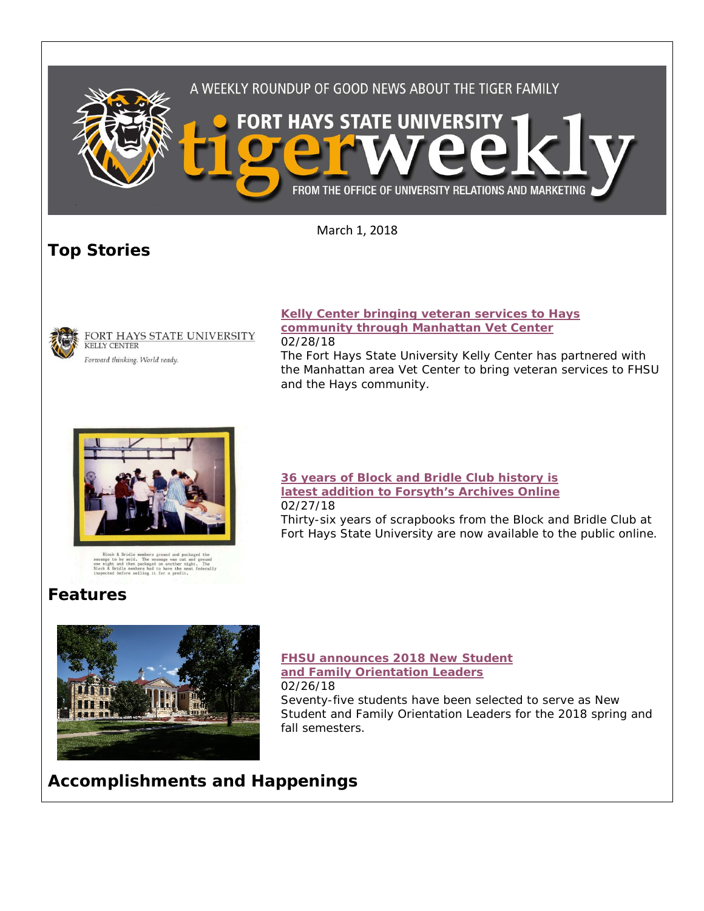



# **Features**



## **[36 years of Block and Bridle Club history is](http://www.fhsu.edu/news/2018/02/36-years-of-block-and-bridle-club-history-is-latest-addition-to-forsyths-archives-online.html)  [latest addition to Forsyth's Archives Online](http://www.fhsu.edu/news/2018/02/36-years-of-block-and-bridle-club-history-is-latest-addition-to-forsyths-archives-online.html)** 02/27/18

Thirty-six years of scrapbooks from the Block and Bridle Club at Fort Hays State University are now available to the public online.

#### **[FHSU announces 2018 New Student](http://www.fhsu.edu/news/2018/02/fhsu-announces-2018-new-student-and-family-orientation-leaders.html)  [and Family Orientation Leaders](http://www.fhsu.edu/news/2018/02/fhsu-announces-2018-new-student-and-family-orientation-leaders.html)** 02/26/18

Seventy-five students have been selected to serve as New Student and Family Orientation Leaders for the 2018 spring and fall semesters.

# **Accomplishments and Happenings**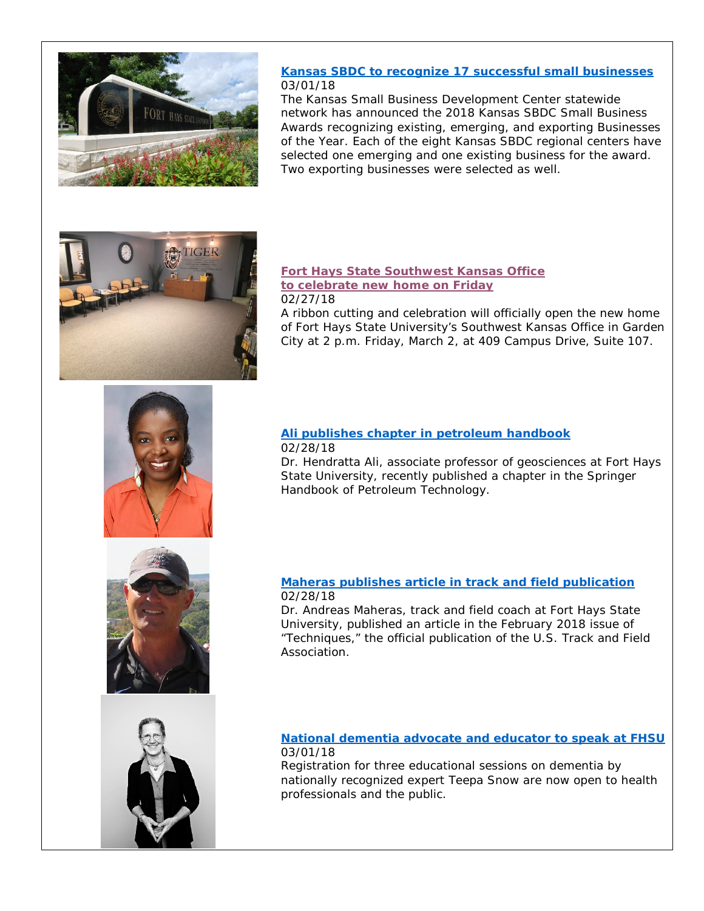

#### **[Kansas SBDC to recognize 17 successful small businesses](http://www.fhsu.edu/news/2018/02/kansas-sbdc-to-recognize-17-successful-small-businesses.html)** 03/01/18

The Kansas Small Business Development Center statewide network has announced the 2018 Kansas SBDC Small Business Awards recognizing existing, emerging, and exporting Businesses of the Year. Each of the eight Kansas SBDC regional centers have selected one emerging and one existing business for the award. Two exporting businesses were selected as well.



#### **[Fort Hays State Southwest Kansas Office](http://www.fhsu.edu/news/2018/02/fort-hays-state-southwest-kansas-office-to-celebrate-new-home-on-friday.html)  [to celebrate new home on Friday](http://www.fhsu.edu/news/2018/02/fort-hays-state-southwest-kansas-office-to-celebrate-new-home-on-friday.html)** 02/27/18

A ribbon cutting and celebration will officially open the new home of Fort Hays State University's Southwest Kansas Office in Garden City at 2 p.m. Friday, March 2, at 409 Campus Drive, Suite 107.



#### **[Ali publishes chapter in petroleum handbook](http://www.fhsu.edu/news/2018/02/ali-publishes-chapter-in-petroleum-handbook.html)** 02/28/18

Dr. Hendratta Ali, associate professor of geosciences at Fort Hays State University, recently published a chapter in the Springer Handbook of Petroleum Technology.



#### **[Maheras publishes article in track and field publication](http://www.fhsu.edu/news/2018/02/maheras-publishes-article-in-track-and-field-publication.html)** 02/28/18

Dr. Andreas Maheras, track and field coach at Fort Hays State University, published an article in the February 2018 issue of "Techniques," the official publication of the U.S. Track and Field **Association** 

### **[National dementia advocate and educator to speak at FHSU](http://www.fhsu.edu/news/2018/02/national-dementia-advocate-and-educator-to-speak-at-fhsu.html)** 03/01/18

Registration for three educational sessions on dementia by nationally recognized expert Teepa Snow are now open to health professionals and the public.